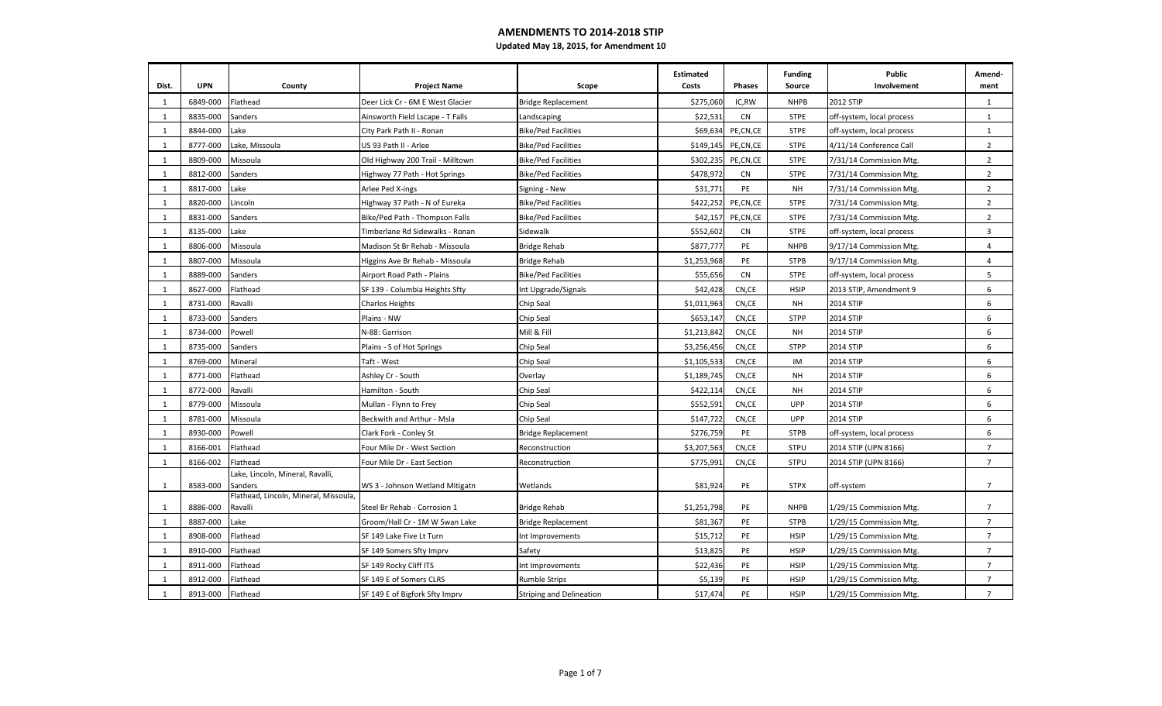# **AMENDMENTS TO 2014-2018 STIP**

| Updated May 18, 2015, for Amendment 10 |  |  |  |
|----------------------------------------|--|--|--|
|----------------------------------------|--|--|--|

| Dist.        | <b>UPN</b> | County                                           | <b>Project Name</b>              | Scope                           | <b>Estimated</b><br>Costs | Phases    | <b>Funding</b><br>Source | <b>Public</b><br>Involvement | Amend-<br>ment |
|--------------|------------|--------------------------------------------------|----------------------------------|---------------------------------|---------------------------|-----------|--------------------------|------------------------------|----------------|
| 1            | 6849-000   | Flathead                                         | Deer Lick Cr - 6M E West Glacier | <b>Bridge Replacement</b>       | \$275,060                 | IC,RW     | <b>NHPB</b>              | 2012 STIP                    | 1              |
| 1            | 8835-000   | Sanders                                          | Ainsworth Field Lscape - T Falls | Landscaping                     | \$22,531                  | <b>CN</b> | <b>STPE</b>              | off-system, local process    | 1              |
| 1            | 8844-000   | Lake                                             | City Park Path II - Ronan        | <b>Bike/Ped Facilities</b>      | \$69,634                  | PE,CN,CE  | <b>STPE</b>              | off-system, local process    | $\mathbf{1}$   |
| 1            | 8777-000   | Lake, Missoula                                   | US 93 Path II - Arlee            | <b>Bike/Ped Facilities</b>      | \$149,145                 | PE,CN,CE  | <b>STPE</b>              | 4/11/14 Conference Call      | $\overline{2}$ |
| $\mathbf{1}$ | 8809-000   | Missoula                                         | Old Highway 200 Trail - Milltown | <b>Bike/Ped Facilities</b>      | \$302,235                 | PE,CN,CE  | <b>STPE</b>              | 7/31/14 Commission Mtg.      | $\overline{2}$ |
| $\mathbf{1}$ | 8812-000   | Sanders                                          | Highway 77 Path - Hot Springs    | <b>Bike/Ped Facilities</b>      | \$478,972                 | <b>CN</b> | <b>STPE</b>              | 7/31/14 Commission Mtg.      | $\overline{2}$ |
| 1            | 8817-000   | Lake                                             | Arlee Ped X-ings                 | Signing - New                   | \$31,771                  | PE        | <b>NH</b>                | 7/31/14 Commission Mtg.      | $\overline{2}$ |
| 1            | 8820-000   | Lincoln                                          | Highway 37 Path - N of Eureka    | <b>Bike/Ped Facilities</b>      | \$422,252                 | PE,CN,CE  | <b>STPE</b>              | 7/31/14 Commission Mtg.      | $\overline{2}$ |
| 1            | 8831-000   | Sanders                                          | Bike/Ped Path - Thompson Falls   | <b>Bike/Ped Facilities</b>      | \$42,157                  | PE,CN,CE  | <b>STPE</b>              | 7/31/14 Commission Mtg.      | $\overline{2}$ |
| 1            | 8135-000   | Lake                                             | Timberlane Rd Sidewalks - Ronan  | Sidewalk                        | \$552,602                 | CN        | <b>STPE</b>              | off-system, local process    | 3              |
| $\mathbf{1}$ | 8806-000   | Missoula                                         | Madison St Br Rehab - Missoula   | <b>Bridge Rehab</b>             | \$877,777                 | PE        | <b>NHPB</b>              | 9/17/14 Commission Mtg.      | $\overline{4}$ |
| $\mathbf{1}$ | 8807-000   | Missoula                                         | Higgins Ave Br Rehab - Missoula  | <b>Bridge Rehab</b>             | \$1,253,968               | PE        | <b>STPB</b>              | 9/17/14 Commission Mtg.      | $\overline{4}$ |
| 1            | 8889-000   | Sanders                                          | Airport Road Path - Plains       | <b>Bike/Ped Facilities</b>      | \$55,656                  | <b>CN</b> | <b>STPE</b>              | off-system, local process    | 5              |
| 1            | 8627-000   | Flathead                                         | SF 139 - Columbia Heights Sfty   | Int Upgrade/Signals             | \$42,428                  | CN,CE     | <b>HSIP</b>              | 2013 STIP, Amendment 9       | 6              |
| 1            | 8731-000   | Ravalli                                          | Charlos Heights                  | Chip Seal                       | \$1,011,963               | CN,CE     | <b>NH</b>                | 2014 STIP                    | 6              |
| 1            | 8733-000   | Sanders                                          | Plains - NW                      | Chip Seal                       | \$653,147                 | CN,CE     | <b>STPP</b>              | 2014 STIP                    | 6              |
| 1            | 8734-000   | Powell                                           | N-88: Garrison                   | Mill & Fill                     | \$1,213,842               | CN,CE     | <b>NH</b>                | 2014 STIP                    | 6              |
| 1            | 8735-000   | Sanders                                          | Plains - S of Hot Springs        | Chip Seal                       | \$3,256,456               | CN,CE     | <b>STPP</b>              | 2014 STIP                    | 6              |
| 1            | 8769-000   | Mineral                                          | Taft - West                      | Chip Seal                       | \$1,105,533               | CN,CE     | IM                       | 2014 STIP                    | 6              |
| 1            | 8771-000   | Flathead                                         | Ashley Cr - South                | Overlay                         | \$1,189,745               | CN,CE     | <b>NH</b>                | 2014 STIP                    | 6              |
| 1            | 8772-000   | Ravalli                                          | Hamilton - South                 | Chip Seal                       | \$422,114                 | CN,CE     | <b>NH</b>                | 2014 STIP                    | 6              |
| 1            | 8779-000   | Missoula                                         | Mullan - Flynn to Frey           | Chip Seal                       | \$552,591                 | CN,CE     | <b>UPP</b>               | 2014 STIP                    | 6              |
| $\mathbf{1}$ | 8781-000   | Missoula                                         | Beckwith and Arthur - Msla       | Chip Seal                       | \$147,722                 | CN,CE     | <b>UPP</b>               | 2014 STIP                    | 6              |
| 1            | 8930-000   | Powell                                           | Clark Fork - Conley St           | <b>Bridge Replacement</b>       | \$276,759                 | PE        | <b>STPB</b>              | off-system, local process    | 6              |
| 1            | 8166-001   | Flathead                                         | Four Mile Dr - West Section      | Reconstruction                  | \$3,207,563               | CN,CE     | <b>STPU</b>              | 2014 STIP (UPN 8166)         | $\overline{7}$ |
| 1            | 8166-002   | Flathead                                         | Four Mile Dr - East Section      | Reconstruction                  | \$775,991                 | CN,CE     | <b>STPU</b>              | 2014 STIP (UPN 8166)         | $\overline{7}$ |
| -1           | 8583-000   | Lake, Lincoln, Mineral, Ravalli,<br>Sanders      | WS 3 - Johnson Wetland Mitigatn  | Wetlands                        | \$81,924                  | PE        | <b>STPX</b>              | off-system                   | $\overline{7}$ |
| 1            | 8886-000   | Flathead, Lincoln, Mineral, Missoula,<br>Ravalli | Steel Br Rehab - Corrosion 1     | <b>Bridge Rehab</b>             | \$1,251,798               | PE        | <b>NHPB</b>              | 1/29/15 Commission Mtg.      | $\overline{7}$ |
| 1            | 8887-000   | Lake                                             | Groom/Hall Cr - 1M W Swan Lake   | <b>Bridge Replacement</b>       | \$81,367                  | PE        | <b>STPB</b>              | 1/29/15 Commission Mtg.      | $\overline{7}$ |
| 1            | 8908-000   | Flathead                                         | SF 149 Lake Five Lt Turn         | Int Improvements                | \$15,712                  | PE        | <b>HSIP</b>              | 1/29/15 Commission Mtg.      | $\overline{7}$ |
| 1            | 8910-000   | Flathead                                         | SF 149 Somers Sfty Imprv         | Safety                          | \$13,825                  | PE        | <b>HSIP</b>              | 1/29/15 Commission Mtg.      | $\overline{7}$ |
| 1            | 8911-000   | Flathead                                         | SF 149 Rocky Cliff ITS           | Int Improvements                | \$22,436                  | PE        | <b>HSIP</b>              | 1/29/15 Commission Mtg.      | $\overline{7}$ |
| 1            | 8912-000   | Flathead                                         | SF 149 E of Somers CLRS          | <b>Rumble Strips</b>            | \$5,139                   | PE        | <b>HSIP</b>              | 1/29/15 Commission Mtg.      | $\overline{7}$ |
| $\mathbf{1}$ | 8913-000   | Flathead                                         | SF 149 E of Bigfork Sfty Imprv   | <b>Striping and Delineation</b> | \$17,474                  | PE        | <b>HSIP</b>              | 1/29/15 Commission Mtg.      | $\overline{7}$ |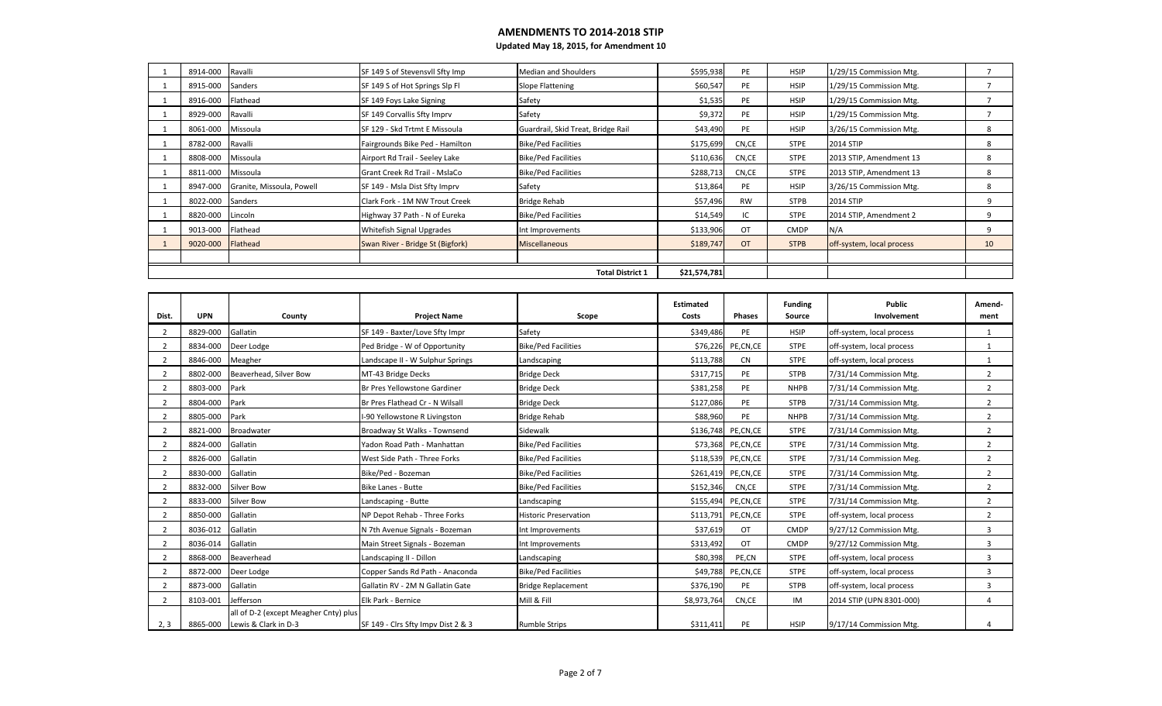| 8914-000 | Ravalli                   | SF 149 S of Stevensvll Sfty Imp  | <b>Median and Shoulders</b>        | \$595,938    | PE        | <b>HSIP</b> | 1/29/15 Commission Mtg.   |    |
|----------|---------------------------|----------------------------------|------------------------------------|--------------|-----------|-------------|---------------------------|----|
| 8915-000 | Sanders                   | SF 149 S of Hot Springs Slp Fl   | <b>Slope Flattening</b>            | \$60,547     | PE        | <b>HSIP</b> | 1/29/15 Commission Mtg.   |    |
| 8916-000 | Flathead                  | SF 149 Foys Lake Signing         | Safety                             | \$1,535      | PE        | <b>HSIP</b> | 1/29/15 Commission Mtg.   |    |
| 8929-000 | Ravalli                   | SF 149 Corvallis Sfty Imprv      | Safety                             | \$9,372      | PE        | <b>HSIP</b> | 1/29/15 Commission Mtg.   |    |
| 8061-000 | Missoula                  | SF 129 - Skd Trtmt E Missoula    | Guardrail, Skid Treat, Bridge Rail | \$43,490     | PE        | <b>HSIP</b> | 3/26/15 Commission Mtg.   | 8  |
| 8782-000 | Ravalli                   | Fairgrounds Bike Ped - Hamilton  | <b>Bike/Ped Facilities</b>         | \$175,699    | CN,CE     | <b>STPE</b> | 2014 STIP                 | 8  |
| 8808-000 | Missoula                  | Airport Rd Trail - Seeley Lake   | <b>Bike/Ped Facilities</b>         | \$110,636    | CN,CE     | <b>STPE</b> | 2013 STIP, Amendment 13   | 8  |
| 8811-000 | Missoula                  | Grant Creek Rd Trail - MslaCo    | <b>Bike/Ped Facilities</b>         | \$288,713    | CN,CE     | <b>STPE</b> | 2013 STIP, Amendment 13   | 8  |
| 8947-000 | Granite, Missoula, Powell | SF 149 - Msla Dist Sfty Imprv    | Safety                             | \$13,864     | PE        | <b>HSIP</b> | 3/26/15 Commission Mtg.   | 8  |
| 8022-000 | Sanders                   | Clark Fork - 1M NW Trout Creek   | Bridge Rehab                       | \$57,496     | <b>RW</b> | <b>STPB</b> | 2014 STIP                 | 9  |
| 8820-000 | Lincoln                   | Highway 37 Path - N of Eureka    | <b>Bike/Ped Facilities</b>         | \$14,549     | IC        | <b>STPE</b> | 2014 STIP, Amendment 2    | 9  |
| 9013-000 | Flathead                  | Whitefish Signal Upgrades        | Int Improvements                   | \$133,906    | OT        | <b>CMDP</b> | N/A                       | 9  |
| 9020-000 | Flathead                  | Swan River - Bridge St (Bigfork) | <b>Miscellaneous</b>               | \$189,747    | <b>OT</b> | <b>STPB</b> | off-system, local process | 10 |
|          |                           |                                  |                                    |              |           |             |                           |    |
|          |                           |                                  | <b>Total District 1</b>            | \$21,574,781 |           |             |                           |    |

| Dist.          | <b>UPN</b> | County                                                                 | <b>Project Name</b>                | Scope                        | Estimated<br>Costs | Phases               | <b>Funding</b><br>Source | Public<br>Involvement     | Amend-<br>ment |
|----------------|------------|------------------------------------------------------------------------|------------------------------------|------------------------------|--------------------|----------------------|--------------------------|---------------------------|----------------|
| 2              | 8829-000   | Gallatin                                                               | SF 149 - Baxter/Love Sfty Impr     | Safety                       | \$349,486          | PE                   | <b>HSIP</b>              | off-system, local process |                |
|                | 8834-000   | Deer Lodge                                                             | Ped Bridge - W of Opportunity      | <b>Bike/Ped Facilities</b>   | \$76,226           | PE,CN,CE             | <b>STPE</b>              | off-system, local process | 1              |
|                | 8846-000   | Meagher                                                                | Landscape II - W Sulphur Springs   | Landscaping                  | \$113,788          | <b>CN</b>            | <b>STPE</b>              | off-system, local process |                |
|                | 8802-000   | Beaverhead, Silver Bow                                                 | MT-43 Bridge Decks                 | <b>Bridge Deck</b>           | \$317,715          | PE                   | <b>STPB</b>              | 7/31/14 Commission Mtg.   | $\overline{2}$ |
| $\overline{2}$ | 8803-000   | Park                                                                   | Br Pres Yellowstone Gardiner       | <b>Bridge Deck</b>           | \$381,258          | PE                   | <b>NHPB</b>              | 7/31/14 Commission Mtg.   | $\overline{2}$ |
|                | 8804-000   | Park                                                                   | Br Pres Flathead Cr - N Wilsall    | <b>Bridge Deck</b>           | \$127,086          | PE                   | <b>STPB</b>              | 7/31/14 Commission Mtg.   | $\overline{2}$ |
| 2              | 8805-000   | Park                                                                   | -90 Yellowstone R Livingston       | <b>Bridge Rehab</b>          | \$88,960           | PE                   | <b>NHPB</b>              | 7/31/14 Commission Mtg.   | $\overline{2}$ |
|                | 8821-000   | <b>Broadwater</b>                                                      | Broadway St Walks - Townsend       | Sidewalk                     | \$136,748          | PE,CN,CE             | <b>STPE</b>              | 7/31/14 Commission Mtg.   | $\overline{2}$ |
|                | 8824-000   | Gallatin                                                               | Yadon Road Path - Manhattan        | <b>Bike/Ped Facilities</b>   |                    | \$73,368 PE, CN, CE  | <b>STPE</b>              | 7/31/14 Commission Mtg.   | $\overline{2}$ |
| $\overline{2}$ | 8826-000   | Gallatin                                                               | West Side Path - Three Forks       | <b>Bike/Ped Facilities</b>   |                    | \$118,539 PE, CN, CE | <b>STPE</b>              | 7/31/14 Commission Meg.   | $\overline{2}$ |
|                | 8830-000   | Gallatin                                                               | Bike/Ped - Bozeman                 | <b>Bike/Ped Facilities</b>   |                    | \$261,419 PE,CN,CE   | <b>STPE</b>              | 7/31/14 Commission Mtg.   | $\overline{2}$ |
|                | 8832-000   | <b>Silver Bow</b>                                                      | Bike Lanes - Butte                 | <b>Bike/Ped Facilities</b>   | \$152,346          | CN,CE                | <b>STPE</b>              | 7/31/14 Commission Mtg.   | $\overline{2}$ |
| $\overline{2}$ | 8833-000   | <b>Silver Bow</b>                                                      | Landscaping - Butte                | Landscaping                  |                    | \$155,494 PE,CN,CE   | <b>STPE</b>              | 7/31/14 Commission Mtg.   | $\overline{2}$ |
|                | 8850-000   | Gallatin                                                               | NP Depot Rehab - Three Forks       | <b>Historic Preservation</b> |                    | \$113,791 PE,CN,CE   | <b>STPE</b>              | off-system, local process | $\overline{2}$ |
| $\overline{2}$ | 8036-012   | Gallatin                                                               | N 7th Avenue Signals - Bozeman     | Int Improvements             | \$37,619           | <b>OT</b>            | <b>CMDP</b>              | 9/27/12 Commission Mtg.   | 3              |
| $\overline{2}$ | 8036-014   | Gallatin                                                               | Main Street Signals - Bozeman      | Int Improvements             | \$313,492          | OT                   | <b>CMDP</b>              | 9/27/12 Commission Mtg.   | 3              |
|                | 8868-000   | Beaverhead                                                             | Landscaping II - Dillon            | Landscaping                  | \$80,398           | PE,CN                | <b>STPE</b>              | off-system, local process | 3              |
| $\overline{2}$ | 8872-000   | Deer Lodge                                                             | Copper Sands Rd Path - Anaconda    | <b>Bike/Ped Facilities</b>   | \$49,788           | PE,CN,CE             | <b>STPE</b>              | off-system, local process | $\overline{3}$ |
| $\overline{2}$ | 8873-000   | Gallatin                                                               | Gallatin RV - 2M N Gallatin Gate   | <b>Bridge Replacement</b>    | \$376,190          | PE                   | <b>STPB</b>              | off-system, local process | 3              |
| $\overline{2}$ | 8103-001   | Jefferson                                                              | Elk Park - Bernice                 | Mill & Fill                  | \$8,973,764        | CN,CE                | IM                       | 2014 STIP (UPN 8301-000)  | $\overline{4}$ |
| 2, 3           |            | all of D-2 (except Meagher Cnty) plus<br>8865-000 Lewis & Clark in D-3 | SF 149 - Clrs Sfty Impv Dist 2 & 3 | <b>Rumble Strips</b>         | \$311,411          | PE                   | <b>HSIP</b>              | 9/17/14 Commission Mtg.   |                |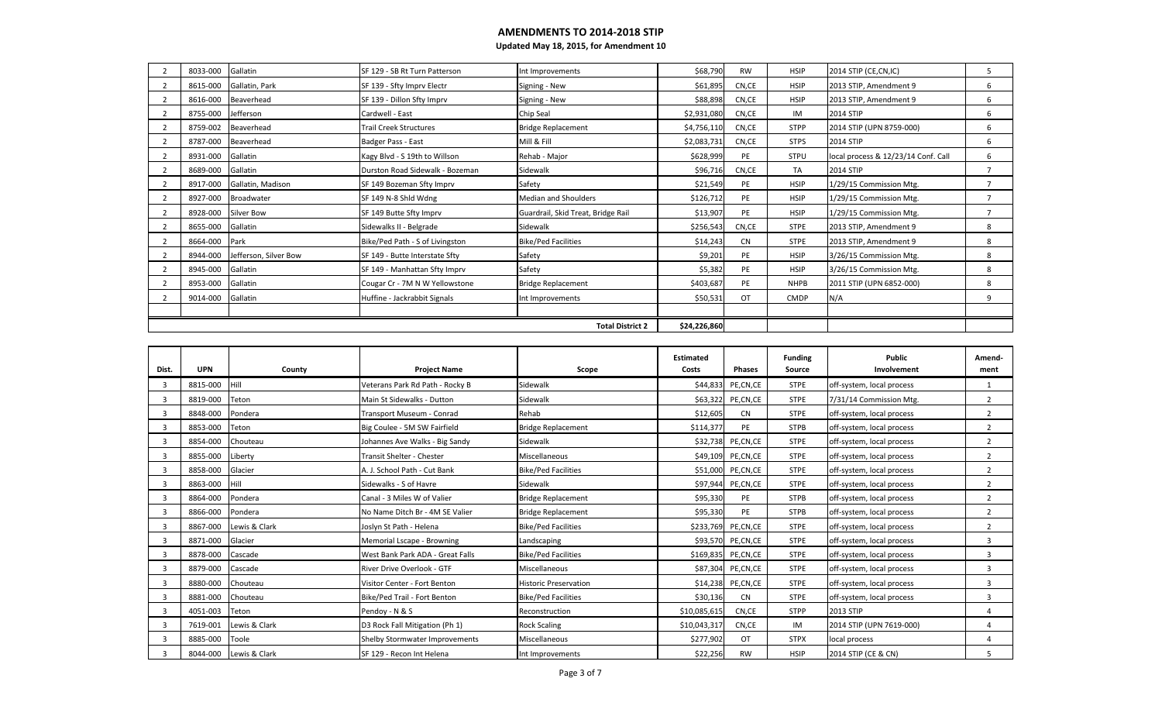| 8033-000 | Gallatin              | SF 129 - SB Rt Turn Patterson   | Int Improvements                   | \$68,790     | <b>RW</b> | <b>HSIP</b> | 2014 STIP (CE, CN, IC)              | 5              |
|----------|-----------------------|---------------------------------|------------------------------------|--------------|-----------|-------------|-------------------------------------|----------------|
| 8615-000 | Gallatin, Park        | SF 139 - Sfty Imprv Electr      | Signing - New                      | \$61,895     | CN,CE     | <b>HSIP</b> | 2013 STIP, Amendment 9              | 6              |
| 8616-000 | Beaverhead            | SF 139 - Dillon Sfty Imprv      | Signing - New                      | \$88,898     | CN,CE     | <b>HSIP</b> | 2013 STIP, Amendment 9              | 6              |
| 8755-000 | Jefferson             | Cardwell - East                 | Chip Seal                          | \$2,931,080  | CN,CE     | IM          | <b>2014 STIP</b>                    | 6              |
| 8759-002 | Beaverhead            | <b>Trail Creek Structures</b>   | <b>Bridge Replacement</b>          | \$4,756,110  | CN,CE     | <b>STPP</b> | 2014 STIP (UPN 8759-000)            | 6              |
| 8787-000 | Beaverhead            | Badger Pass - East              | Mill & Fill                        | \$2,083,731  | CN,CE     | <b>STPS</b> | <b>2014 STIP</b>                    | 6              |
| 8931-000 | Gallatin              | Kagy Blvd - S 19th to Willson   | Rehab - Major                      | \$628,999    | PE        | <b>STPU</b> | local process & 12/23/14 Conf. Call | 6              |
| 8689-000 | Gallatin              | Durston Road Sidewalk - Bozeman | Sidewalk                           | \$96,716     | CN,CE     | TA          | 2014 STIP                           | $\overline{7}$ |
| 8917-000 | Gallatin, Madison     | SF 149 Bozeman Sfty Imprv       | Safety                             | \$21,549     | PE        | <b>HSIP</b> | 1/29/15 Commission Mtg.             |                |
| 8927-000 | Broadwater            | SF 149 N-8 Shld Wdng            | <b>Median and Shoulders</b>        | \$126,712    | PE        | <b>HSIP</b> | 1/29/15 Commission Mtg.             | $\overline{ }$ |
| 8928-000 | Silver Bow            | SF 149 Butte Sfty Imprv         | Guardrail, Skid Treat, Bridge Rail | \$13,907     | PE        | <b>HSIP</b> | 1/29/15 Commission Mtg.             |                |
| 8655-000 | Gallatin              | Sidewalks II - Belgrade         | Sidewalk                           | \$256,543    | CN,CE     | <b>STPE</b> | 2013 STIP, Amendment 9              | 8              |
| 8664-000 | Park                  | Bike/Ped Path - S of Livingston | <b>Bike/Ped Facilities</b>         | \$14,243     | <b>CN</b> | <b>STPE</b> | 2013 STIP, Amendment 9              | 8              |
| 8944-000 | Jefferson, Silver Bow | SF 149 - Butte Interstate Sfty  | Safety                             | \$9,201      | PE        | <b>HSIP</b> | 3/26/15 Commission Mtg.             | 8              |
| 8945-000 | Gallatin              | SF 149 - Manhattan Sfty Imprv   | Safety                             | \$5,382      | PE        | <b>HSIP</b> | 3/26/15 Commission Mtg.             | 8              |
| 8953-000 | Gallatin              | Cougar Cr - 7M N W Yellowstone  | <b>Bridge Replacement</b>          | \$403,687    | PE        | <b>NHPB</b> | 2011 STIP (UPN 6852-000)            | 8              |
| 9014-000 | Gallatin              | Huffine - Jackrabbit Signals    | Int Improvements                   | \$50,531     | OT        | <b>CMDP</b> | N/A                                 | 9              |
|          |                       |                                 |                                    |              |           |             |                                     |                |
|          |                       |                                 | <b>Total District 2</b>            | \$24,226,860 |           |             |                                     |                |

| Dist. | <b>UPN</b> | County                 | <b>Project Name</b>              | Scope                        | Estimated<br>Costs | <b>Phases</b>        | <b>Funding</b><br>Source | Public<br>Involvement     | Amend-<br>ment          |
|-------|------------|------------------------|----------------------------------|------------------------------|--------------------|----------------------|--------------------------|---------------------------|-------------------------|
| -3    | 8815-000   | <b>Hill</b>            | Veterans Park Rd Path - Rocky B  | Sidewalk                     |                    | \$44,833 PE, CN, CE  | <b>STPE</b>              | off-system, local process |                         |
| 3     | 8819-000   | Teton                  | Main St Sidewalks - Dutton       | Sidewalk                     | \$63,322           | PE,CN,CE             | <b>STPE</b>              | 7/31/14 Commission Mtg.   | $\overline{2}$          |
| 3     | 8848-000   | Pondera                | Transport Museum - Conrad        | Rehab                        | \$12,605           | <b>CN</b>            | <b>STPE</b>              | off-system, local process | $\overline{2}$          |
|       | 8853-000   | Teton                  | Big Coulee - 5M SW Fairfield     | <b>Bridge Replacement</b>    | \$114,377          | PE                   | <b>STPB</b>              | off-system, local process | $\overline{2}$          |
| 3     | 8854-000   | Chouteau               | Johannes Ave Walks - Big Sandy   | Sidewalk                     | \$32,738           | PE,CN,CE             | <b>STPE</b>              | off-system, local process | $\overline{2}$          |
|       | 8855-000   | Liberty                | Transit Shelter - Chester        | Miscellaneous                |                    | \$49,109 PE, CN, CE  | <b>STPE</b>              | off-system, local process | $\overline{2}$          |
|       | 8858-000   | Glacier                | A. J. School Path - Cut Bank     | <b>Bike/Ped Facilities</b>   | \$51,000           | PE,CN,CE             | <b>STPE</b>              | off-system, local process | $\overline{2}$          |
| -3    | 8863-000   | <b>Hill</b>            | Sidewalks - S of Havre           | Sidewalk                     | \$97,944           | PE,CN,CE             | <b>STPE</b>              | off-system, local process | $\overline{2}$          |
| -3    | 8864-000   | Pondera                | Canal - 3 Miles W of Valier      | <b>Bridge Replacement</b>    | \$95,330           | PE                   | <b>STPB</b>              | off-system, local process | $\overline{2}$          |
|       | 8866-000   | Pondera                | No Name Ditch Br - 4M SE Valier  | <b>Bridge Replacement</b>    | \$95,330           | PE                   | <b>STPB</b>              | off-system, local process | $\overline{2}$          |
| 3     | 8867-000   | Lewis & Clark          | Joslyn St Path - Helena          | <b>Bike/Ped Facilities</b>   | \$233,769          | PE,CN,CE             | <b>STPE</b>              | off-system, local process | $\overline{2}$          |
|       | 8871-000   | Glacier                | Memorial Lscape - Browning       | Landscaping                  |                    | \$93,570 PE, CN, CE  | <b>STPE</b>              | off-system, local process | $\overline{\mathbf{3}}$ |
|       | 8878-000   | Cascade                | West Bank Park ADA - Great Falls | <b>Bike/Ped Facilities</b>   |                    | \$169,835 PE, CN, CE | <b>STPE</b>              | off-system, local process | 3                       |
|       | 8879-000   | Cascade                | River Drive Overlook - GTF       | Miscellaneous                |                    | \$87,304 PE, CN, CE  | <b>STPE</b>              | off-system, local process | $\overline{3}$          |
| 3     | 8880-000   | Chouteau               | Visitor Center - Fort Benton     | <b>Historic Preservation</b> | \$14,238           | PE,CN,CE             | <b>STPE</b>              | off-system, local process | 3                       |
| -3    | 8881-000   | Chouteau               | Bike/Ped Trail - Fort Benton     | <b>Bike/Ped Facilities</b>   | \$30,136           | <b>CN</b>            | <b>STPE</b>              | off-system, local process | 3                       |
|       | 4051-003   | Teton                  | Pendoy - N & S                   | Reconstruction               | \$10,085,615       | CN,CE                | <b>STPP</b>              | 2013 STIP                 | $\overline{a}$          |
| 3     | 7619-001   | Lewis & Clark          | D3 Rock Fall Mitigation (Ph 1)   | <b>Rock Scaling</b>          | \$10,043,317       | CN,CE                | IM                       | 2014 STIP (UPN 7619-000)  | $\overline{a}$          |
|       | 8885-000   | Toole                  | Shelby Stormwater Improvements   | <b>Miscellaneous</b>         | \$277,902          | OT                   | <b>STPX</b>              | local process             | $\Delta$                |
|       |            | 8044-000 Lewis & Clark | SF 129 - Recon Int Helena        | Int Improvements             | \$22,256           | <b>RW</b>            | <b>HSIP</b>              | 2014 STIP (CE & CN)       | 5                       |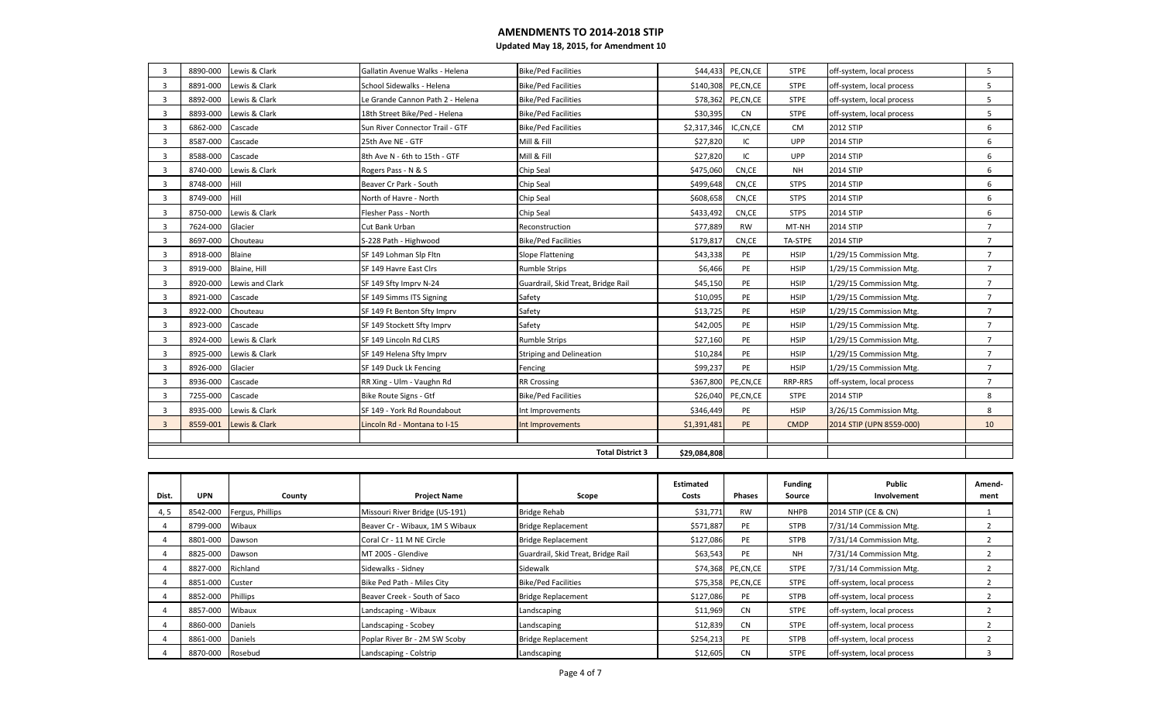| $\overline{3}$          | 8890-000 | Lewis & Clark   | Gallatin Avenue Walks - Helena   | <b>Bike/Ped Facilities</b>         | \$44,433     | PE,CN,CE  | <b>STPE</b> | off-system, local process | 5              |
|-------------------------|----------|-----------------|----------------------------------|------------------------------------|--------------|-----------|-------------|---------------------------|----------------|
| $\overline{3}$          | 8891-000 | Lewis & Clark   | School Sidewalks - Helena        | <b>Bike/Ped Facilities</b>         | \$140,308    | PE,CN,CE  | <b>STPE</b> | off-system, local process | 5              |
| $\mathbf{3}$            | 8892-000 | Lewis & Clark   | Le Grande Cannon Path 2 - Helena | <b>Bike/Ped Facilities</b>         | \$78,362     | PE,CN,CE  | <b>STPE</b> | off-system, local process | 5              |
| 3                       | 8893-000 | Lewis & Clark   | 18th Street Bike/Ped - Helena    | <b>Bike/Ped Facilities</b>         | \$30,395     | <b>CN</b> | <b>STPE</b> | off-system, local process | 5              |
| $\overline{3}$          | 6862-000 | Cascade         | Sun River Connector Trail - GTF  | <b>Bike/Ped Facilities</b>         | \$2,317,346  | IC,CN,CE  | CM          | 2012 STIP                 | 6              |
| $\overline{3}$          | 8587-000 | Cascade         | 25th Ave NE - GTF                | Mill & Fill                        | \$27,820     | IC        | <b>UPP</b>  | 2014 STIP                 | 6              |
| 3                       | 8588-000 | Cascade         | 8th Ave N - 6th to 15th - GTF    | Mill & Fill                        | \$27,820     | IC        | UPP         | 2014 STIP                 | 6              |
| 3                       | 8740-000 | Lewis & Clark   | Rogers Pass - N & S              | Chip Seal                          | \$475,060    | CN,CE     | <b>NH</b>   | <b>2014 STIP</b>          | 6              |
| $\overline{3}$          | 8748-000 | Hill            | Beaver Cr Park - South           | Chip Seal                          | \$499,648    | CN,CE     | <b>STPS</b> | 2014 STIP                 | 6              |
| $\overline{3}$          | 8749-000 | Hill            | North of Havre - North           | Chip Seal                          | \$608,658    | CN,CE     | <b>STPS</b> | 2014 STIP                 | 6              |
| 3                       | 8750-000 | Lewis & Clark   | Flesher Pass - North             | Chip Seal                          | \$433,492    | CN,CE     | <b>STPS</b> | <b>2014 STIP</b>          | 6              |
| $\overline{3}$          | 7624-000 | Glacier         | Cut Bank Urban                   | Reconstruction                     | \$77,889     | <b>RW</b> | MT-NH       | <b>2014 STIP</b>          | $\overline{7}$ |
| $\overline{3}$          | 8697-000 | Chouteau        | S-228 Path - Highwood            | <b>Bike/Ped Facilities</b>         | \$179,817    | CN,CE     | TA-STPE     | <b>2014 STIP</b>          | $\overline{7}$ |
| $\overline{3}$          | 8918-000 | Blaine          | SF 149 Lohman Slp Fltn           | <b>Slope Flattening</b>            | \$43,338     | PE        | <b>HSIP</b> | 1/29/15 Commission Mtg.   | $\overline{7}$ |
| 3                       | 8919-000 | Blaine, Hill    | SF 149 Havre East Clrs           | <b>Rumble Strips</b>               | \$6,466      | PE        | <b>HSIP</b> | 1/29/15 Commission Mtg.   | $\overline{7}$ |
| $\overline{3}$          | 8920-000 | Lewis and Clark | SF 149 Sfty Imprv N-24           | Guardrail, Skid Treat, Bridge Rail | \$45,150     | PE        | <b>HSIP</b> | 1/29/15 Commission Mtg.   | $\overline{7}$ |
| $\overline{\mathbf{3}}$ | 8921-000 | Cascade         | SF 149 Simms ITS Signing         | Safety                             | \$10,095     | PE        | <b>HSIP</b> | 1/29/15 Commission Mtg.   | $\overline{7}$ |
| $\overline{3}$          | 8922-000 | Chouteau        | SF 149 Ft Benton Sfty Imprv      | Safety                             | \$13,725     | PE        | <b>HSIP</b> | 1/29/15 Commission Mtg.   | $\overline{7}$ |
| 3                       | 8923-000 | Cascade         | SF 149 Stockett Sfty Imprv       | Safety                             | \$42,005     | PE        | <b>HSIP</b> | 1/29/15 Commission Mtg.   | $\overline{7}$ |
| 3                       | 8924-000 | Lewis & Clark   | SF 149 Lincoln Rd CLRS           | <b>Rumble Strips</b>               | \$27,160     | PE        | <b>HSIP</b> | 1/29/15 Commission Mtg.   | $\overline{7}$ |
| $\overline{3}$          | 8925-000 | Lewis & Clark   | SF 149 Helena Sfty Imprv         | <b>Striping and Delineation</b>    | \$10,284     | PE        | <b>HSIP</b> | 1/29/15 Commission Mtg.   | $\overline{7}$ |
| 3                       | 8926-000 | Glacier         | SF 149 Duck Lk Fencing           | Fencing                            | \$99,237     | PE        | <b>HSIP</b> | 1/29/15 Commission Mtg.   | $\overline{7}$ |
| 3                       | 8936-000 | Cascade         | RR Xing - Ulm - Vaughn Rd        | <b>RR Crossing</b>                 | \$367,800    | PE,CN,CE  | RRP-RRS     | off-system, local process | $\overline{7}$ |
| $\overline{3}$          | 7255-000 | Cascade         | Bike Route Signs - Gtf           | <b>Bike/Ped Facilities</b>         | \$26,040     | PE,CN,CE  | <b>STPE</b> | 2014 STIP                 | 8              |
| $\overline{3}$          | 8935-000 | Lewis & Clark   | SF 149 - York Rd Roundabout      | Int Improvements                   | \$346,449    | PE        | <b>HSIP</b> | 3/26/15 Commission Mtg.   | 8              |
| 3                       | 8559-001 | Lewis & Clark   | Lincoln Rd - Montana to I-15     | Int Improvements                   | \$1,391,481  | PE        | <b>CMDP</b> | 2014 STIP (UPN 8559-000)  | 10             |
|                         |          |                 |                                  |                                    |              |           |             |                           |                |
|                         |          |                 |                                  | <b>Total District 3</b>            | \$29,084,808 |           |             |                           |                |

| Dist. | <b>UPN</b>        | County                    | <b>Project Name</b>             | Scope                              | Estimated<br>Costs | Phases              | <b>Funding</b><br>Source | Public<br>Involvement     | Amend-<br>ment |
|-------|-------------------|---------------------------|---------------------------------|------------------------------------|--------------------|---------------------|--------------------------|---------------------------|----------------|
| 4, 5  |                   | 8542-000 Fergus, Phillips | Missouri River Bridge (US-191)  | <b>Bridge Rehab</b>                | \$31,771           | <b>RW</b>           | <b>NHPB</b>              | 2014 STIP (CE & CN)       |                |
|       | 8799-000          | Wibaux                    | Beaver Cr - Wibaux, 1M S Wibaux | <b>Bridge Replacement</b>          | \$571,887          | PE                  | <b>STPB</b>              | 7/31/14 Commission Mtg.   |                |
|       | 8801-000 Dawson   |                           | Coral Cr - 11 M NE Circle       | <b>Bridge Replacement</b>          | \$127,086          | PE                  | <b>STPB</b>              | 7/31/14 Commission Mtg.   |                |
|       | 8825-000          | Dawson                    | MT 200S - Glendive              | Guardrail, Skid Treat, Bridge Rail | \$63,543           | PE                  | NH                       | 7/31/14 Commission Mtg.   |                |
|       | 8827-000 Richland |                           | Sidewalks - Sidney              | Sidewalk                           |                    | \$74,368 PE, CN, CE | <b>STPE</b>              | 7/31/14 Commission Mtg.   |                |
|       | 8851-000 Custer   |                           | Bike Ped Path - Miles City      | <b>Bike/Ped Facilities</b>         |                    | \$75,358 PE, CN, CE | <b>STPE</b>              | off-system, local process |                |
|       | 8852-000 Phillips |                           | Beaver Creek - South of Saco    | <b>Bridge Replacement</b>          | \$127,086          | PE                  | <b>STPB</b>              | off-system, local process |                |
|       | 8857-000 Wibaux   |                           | Landscaping - Wibaux            | Landscaping                        | \$11,969           | CN                  | <b>STPE</b>              | off-system, local process |                |
|       | 8860-000 Daniels  |                           | Landscaping - Scobey            | Landscaping                        | \$12,839           | <b>CN</b>           | <b>STPE</b>              | off-system, local process |                |
|       | 8861-000 Daniels  |                           | Poplar River Br - 2M SW Scoby   | <b>Bridge Replacement</b>          | \$254,213          | PE                  | <b>STPB</b>              | off-system, local process |                |
|       | 8870-000 Rosebud  |                           | Landscaping - Colstrip          | Landscaping                        | \$12,605           | <b>CN</b>           | <b>STPE</b>              | off-system, local process |                |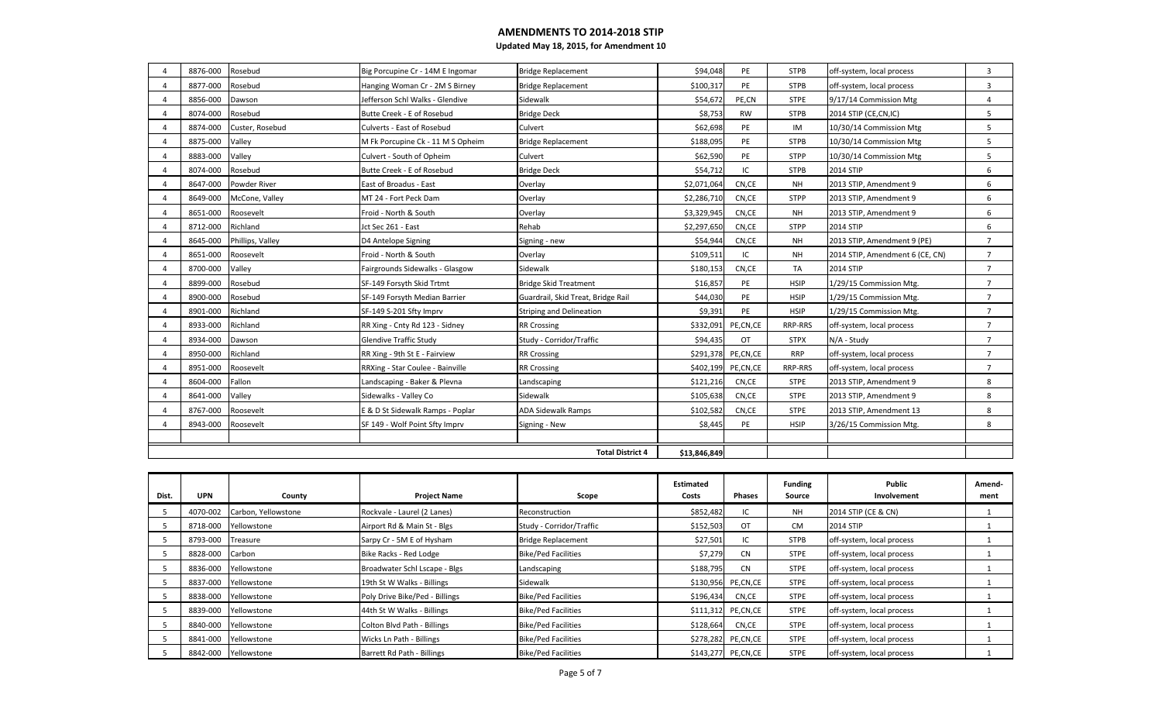| 8876-000 | Rosebud          | Big Porcupine Cr - 14M E Ingomar  | <b>Bridge Replacement</b>          | \$94,048     | PE        | <b>STPB</b> | off-system, local process       | $\overline{3}$ |
|----------|------------------|-----------------------------------|------------------------------------|--------------|-----------|-------------|---------------------------------|----------------|
| 8877-000 | Rosebud          | Hanging Woman Cr - 2M S Birney    | <b>Bridge Replacement</b>          | \$100,317    | PE        | <b>STPB</b> | off-system, local process       | 3              |
| 8856-000 | Dawson           | Jefferson Schl Walks - Glendive   | Sidewalk                           | \$54,672     | PE,CN     | <b>STPE</b> | 9/17/14 Commission Mtg          | 4              |
| 8074-000 | Rosebud          | Butte Creek - E of Rosebud        | <b>Bridge Deck</b>                 | \$8,753      | <b>RW</b> | <b>STPB</b> | 2014 STIP (CE, CN, IC)          | 5              |
| 8874-000 | Custer, Rosebud  | Culverts - East of Rosebud        | Culvert                            | \$62,698     | PE        | IM          | 10/30/14 Commission Mtg         | 5              |
| 8875-000 | Valley           | M Fk Porcupine Ck - 11 M S Opheim | <b>Bridge Replacement</b>          | \$188,095    | PE        | <b>STPB</b> | 10/30/14 Commission Mtg         | 5              |
| 8883-000 | Valley           | Culvert - South of Opheim         | Culvert                            | \$62,590     | PE        | <b>STPP</b> | 10/30/14 Commission Mtg         | 5              |
| 8074-000 | Rosebud          | Butte Creek - E of Rosebud        | <b>Bridge Deck</b>                 | \$54,712     | IC        | <b>STPB</b> | <b>2014 STIP</b>                | 6              |
| 8647-000 | Powder River     | East of Broadus - East            | Overlay                            | \$2,071,064  | CN,CE     | <b>NH</b>   | 2013 STIP, Amendment 9          | 6              |
| 8649-000 | McCone, Valley   | MT 24 - Fort Peck Dam             | Overlay                            | \$2,286,710  | CN,CE     | <b>STPP</b> | 2013 STIP, Amendment 9          | 6              |
| 8651-000 | Roosevelt        | Froid - North & South             | Overlay                            | \$3,329,945  | CN,CE     | <b>NH</b>   | 2013 STIP, Amendment 9          | 6              |
| 8712-000 | Richland         | Jct Sec 261 - East                | Rehab                              | \$2,297,650  | CN,CE     | <b>STPP</b> | <b>2014 STIP</b>                | 6              |
| 8645-000 | Phillips, Valley | D4 Antelope Signing               | Signing - new                      | \$54,944     | CN,CE     | <b>NH</b>   | 2013 STIP, Amendment 9 (PE)     | $\overline{7}$ |
| 8651-000 | Roosevelt        | Froid - North & South             | Overlay                            | \$109,511    | IC        | <b>NH</b>   | 2014 STIP, Amendment 6 (CE, CN) | $\overline{7}$ |
| 8700-000 | Valley           | Fairgrounds Sidewalks - Glasgow   | Sidewalk                           | \$180,153    | CN,CE     | TA          | <b>2014 STIP</b>                | $\overline{7}$ |
| 8899-000 | Rosebud          | SF-149 Forsyth Skid Trtmt         | <b>Bridge Skid Treatment</b>       | \$16,857     | PE        | <b>HSIP</b> | 1/29/15 Commission Mtg.         | $\overline{7}$ |
| 8900-000 | Rosebud          | SF-149 Forsyth Median Barrier     | Guardrail, Skid Treat, Bridge Rail | \$44,030     | PE        | <b>HSIP</b> | 1/29/15 Commission Mtg.         | $\overline{7}$ |
| 8901-000 | Richland         | SF-149 S-201 Sfty Imprv           | <b>Striping and Delineation</b>    | \$9,391      | PE        | <b>HSIP</b> | 1/29/15 Commission Mtg.         | $\overline{7}$ |
| 8933-000 | Richland         | RR Xing - Cnty Rd 123 - Sidney    | <b>RR Crossing</b>                 | \$332,091    | PE,CN,CE  | RRP-RRS     | off-system, local process       | $\overline{7}$ |
| 8934-000 | Dawson           | <b>Glendive Traffic Study</b>     | Study - Corridor/Traffic           | \$94,435     | <b>OT</b> | <b>STPX</b> | N/A - Study                     | $\overline{7}$ |
| 8950-000 | Richland         | RR Xing - 9th St E - Fairview     | <b>RR Crossing</b>                 | \$291,378    | PE,CN,CE  | <b>RRP</b>  | off-system, local process       | $\overline{7}$ |
| 8951-000 | Roosevelt        | RRXing - Star Coulee - Bainville  | <b>RR Crossing</b>                 | \$402,199    | PE,CN,CE  | RRP-RRS     | off-system, local process       | $\overline{7}$ |
| 8604-000 | Fallon           | Landscaping - Baker & Plevna      | Landscaping                        | \$121,216    | CN,CE     | <b>STPE</b> | 2013 STIP, Amendment 9          | 8              |
| 8641-000 | Vallev           | Sidewalks - Valley Co             | Sidewalk                           | \$105,638    | CN,CE     | <b>STPE</b> | 2013 STIP, Amendment 9          | 8              |
| 8767-000 | Roosevelt        | E & D St Sidewalk Ramps - Poplar  | <b>ADA Sidewalk Ramps</b>          | \$102,582    | CN,CE     | <b>STPE</b> | 2013 STIP, Amendment 13         | 8              |
| 8943-000 | Roosevelt        | SF 149 - Wolf Point Sfty Imprv    | Signing - New                      | \$8,445      | PE        | <b>HSIP</b> | 3/26/15 Commission Mtg.         | 8              |
|          |                  |                                   |                                    |              |           |             |                                 |                |
|          |                  |                                   | <b>Total District 4</b>            | \$13,846,849 |           |             |                                 |                |

| Dist. | <b>UPN</b>        | County               | <b>Project Name</b>            | Scope                      | Estimated<br>Costs | <b>Phases</b>        | <b>Funding</b><br>Source | Public<br>Involvement     | Amend-<br>ment |
|-------|-------------------|----------------------|--------------------------------|----------------------------|--------------------|----------------------|--------------------------|---------------------------|----------------|
|       | 4070-002          | Carbon, Yellowstone  | Rockvale - Laurel (2 Lanes)    | Reconstruction             | \$852,482          | IC                   | <b>NH</b>                | 2014 STIP (CE & CN)       |                |
|       |                   | 8718-000 Yellowstone | Airport Rd & Main St - Blgs    | Study - Corridor/Traffic   | \$152,503          | OT                   | <b>CM</b>                | <b>2014 STIP</b>          |                |
|       | 8793-000 Treasure |                      | Sarpy Cr - 5M E of Hysham      | <b>Bridge Replacement</b>  | \$27,501           | IC                   | <b>STPB</b>              | off-system, local process |                |
|       | 8828-000          | Carbon               | Bike Racks - Red Lodge         | <b>Bike/Ped Facilities</b> | \$7,279            | <b>CN</b>            | <b>STPE</b>              | off-system, local process |                |
|       |                   | 8836-000 Yellowstone | Broadwater Schl Lscape - Blgs  | Landscaping                | \$188,795          | <b>CN</b>            | <b>STPE</b>              | off-system, local process |                |
|       |                   | 8837-000 Yellowstone | 19th St W Walks - Billings     | Sidewalk                   |                    | \$130,956 PE,CN,CE   | <b>STPE</b>              | off-system, local process |                |
|       |                   | 8838-000 Yellowstone | Poly Drive Bike/Ped - Billings | <b>Bike/Ped Facilities</b> | \$196,434          | CN,CE                | <b>STPE</b>              | off-system, local process |                |
|       |                   | 8839-000 Yellowstone | 44th St W Walks - Billings     | <b>Bike/Ped Facilities</b> |                    | \$111,312 PE,CN,CE   | <b>STPE</b>              | off-system, local process |                |
|       |                   | 8840-000 Yellowstone | Colton Blvd Path - Billings    | <b>Bike/Ped Facilities</b> | \$128,664          | CN,CE                | <b>STPE</b>              | off-system, local process |                |
|       |                   | 8841-000 Yellowstone | Wicks Ln Path - Billings       | <b>Bike/Ped Facilities</b> |                    | \$278,282 PE,CN,CE   | <b>STPE</b>              | off-system, local process |                |
|       |                   | 8842-000 Yellowstone | Barrett Rd Path - Billings     | <b>Bike/Ped Facilities</b> |                    | \$143,277 PE, CN, CE | <b>STPE</b>              | off-system, local process |                |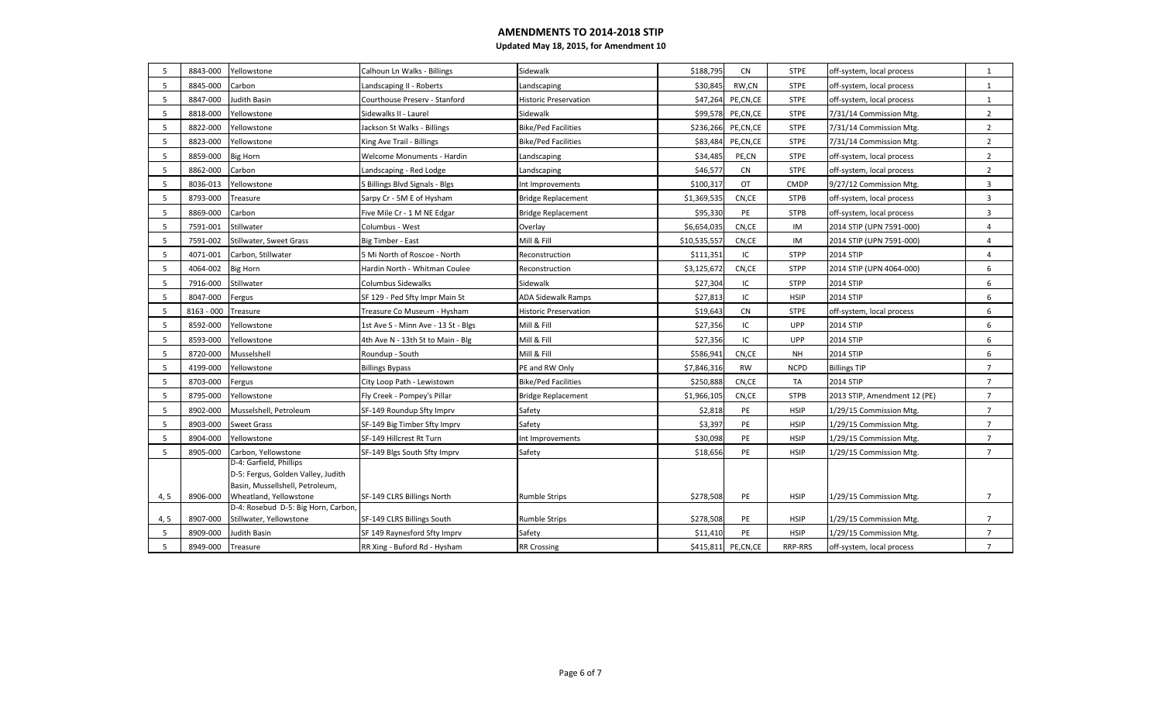| 5    | 8843-000     | Yellowstone                                                                                      | Calhoun Ln Walks - Billings         | Sidewalk                     | \$188,795   | CN        | <b>STPE</b> | off-system, local process    | $\mathbf{1}$   |
|------|--------------|--------------------------------------------------------------------------------------------------|-------------------------------------|------------------------------|-------------|-----------|-------------|------------------------------|----------------|
| -5   | 8845-000     | Carbon                                                                                           | Landscaping II - Roberts            | Landscaping                  | \$30,845    | RW,CN     | <b>STPE</b> | off-system, local process    | $\mathbf{1}$   |
| 5    | 8847-000     | <b>Judith Basin</b>                                                                              | Courthouse Preserv - Stanford       | <b>Historic Preservation</b> | \$47,264    | PE,CN,CE  | <b>STPE</b> | off-system, local process    | $\mathbf{1}$   |
| 5    | 8818-000     | Yellowstone                                                                                      | Sidewalks II - Laurel               | Sidewalk                     | \$99,578    | PE,CN,CE  | <b>STPE</b> | 7/31/14 Commission Mtg.      | $\overline{2}$ |
| 5    | 8822-000     | Yellowstone                                                                                      | Jackson St Walks - Billings         | <b>Bike/Ped Facilities</b>   | \$236,266   | PE,CN,CE  | <b>STPE</b> | 7/31/14 Commission Mtg.      | $\overline{2}$ |
| 5    | 8823-000     | Yellowstone                                                                                      | King Ave Trail - Billings           | <b>Bike/Ped Facilities</b>   | \$83,484    | PE,CN,CE  | <b>STPE</b> | 7/31/14 Commission Mtg.      | $\overline{2}$ |
| 5    | 8859-000     | <b>Big Horn</b>                                                                                  | Welcome Monuments - Hardin          | Landscaping                  | \$34,485    | PE,CN     | <b>STPE</b> | off-system, local process    | $\overline{2}$ |
| 5    | 8862-000     | Carbon                                                                                           | Landscaping - Red Lodge             | Landscaping                  | \$46,57     | <b>CN</b> | <b>STPE</b> | off-system, local process    | $\overline{2}$ |
| 5    | 8036-013     | Yellowstone                                                                                      | S Billings Blvd Signals - Blgs      | Int Improvements             | \$100,317   | OT        | <b>CMDP</b> | 9/27/12 Commission Mtg.      | 3              |
| 5    | 8793-000     | Treasure                                                                                         | Sarpy Cr - 5M E of Hysham           | <b>Bridge Replacement</b>    | \$1,369,535 | CN,CE     | <b>STPB</b> | off-system, local process    | $\overline{3}$ |
| 5    | 8869-000     | Carbon                                                                                           | Five Mile Cr - 1 M NE Edgar         | <b>Bridge Replacement</b>    | \$95,330    | PE        | <b>STPB</b> | off-system, local process    | 3              |
| 5    | 7591-001     | Stillwater                                                                                       | Columbus - West                     | Overlay                      | \$6,654,035 | CN,CE     | IM          | 2014 STIP (UPN 7591-000)     | $\overline{4}$ |
| 5    | 7591-002     | Stillwater, Sweet Grass                                                                          | Big Timber - East                   | Mill & Fill                  | \$10,535,55 | CN,CE     | IM          | 2014 STIP (UPN 7591-000)     | $\overline{4}$ |
| -5   | 4071-001     | Carbon, Stillwater                                                                               | 5 Mi North of Roscoe - North        | Reconstruction               | \$111,35    | IC        | <b>STPP</b> | 2014 STIP                    | $\overline{4}$ |
| 5    | 4064-002     | <b>Big Horn</b>                                                                                  | Hardin North - Whitman Coulee       | Reconstruction               | \$3,125,672 | CN,CE     | <b>STPP</b> | 2014 STIP (UPN 4064-000)     | 6              |
| -5   | 7916-000     | Stillwater                                                                                       | <b>Columbus Sidewalks</b>           | Sidewalk                     | \$27,304    | IC        | <b>STPP</b> | 2014 STIP                    | 6              |
| 5    | 8047-000     | Fergus                                                                                           | SF 129 - Ped Sfty Impr Main St      | <b>ADA Sidewalk Ramps</b>    | \$27,813    | IC        | <b>HSIP</b> | 2014 STIP                    | 6              |
| 5    | $8163 - 000$ | Treasure                                                                                         | Treasure Co Museum - Hysham         | <b>Historic Preservation</b> | \$19,643    | CN        | <b>STPE</b> | off-system, local process    | 6              |
| 5    | 8592-000     | Yellowstone                                                                                      | 1st Ave S - Minn Ave - 13 St - Blgs | Mill & Fill                  | \$27,356    | IC        | <b>UPP</b>  | 2014 STIP                    | 6              |
| 5    | 8593-000     | Yellowstone                                                                                      | 4th Ave N - 13th St to Main - Blg   | Mill & Fill                  | \$27,356    | IC        | <b>UPP</b>  | 2014 STIP                    | 6              |
| -5   | 8720-000     | Musselshell                                                                                      | Roundup - South                     | Mill & Fill                  | \$586,94    | CN,CE     | <b>NH</b>   | 2014 STIP                    | 6              |
| 5    | 4199-000     | Yellowstone                                                                                      | <b>Billings Bypass</b>              | PE and RW Only               | \$7,846,316 | <b>RW</b> | <b>NCPD</b> | <b>Billings TIP</b>          | $\overline{7}$ |
| -5   | 8703-000     | Fergus                                                                                           | City Loop Path - Lewistown          | <b>Bike/Ped Facilities</b>   | \$250,888   | CN,CE     | <b>TA</b>   | 2014 STIP                    | $\overline{7}$ |
| 5    | 8795-000     | Yellowstone                                                                                      | Fly Creek - Pompey's Pillar         | <b>Bridge Replacement</b>    | \$1,966,105 | CN,CE     | <b>STPB</b> | 2013 STIP, Amendment 12 (PE) | $\overline{7}$ |
| -5   | 8902-000     | Musselshell, Petroleum                                                                           | SF-149 Roundup Sfty Imprv           | Safety                       | \$2,818     | PE        | <b>HSIP</b> | 1/29/15 Commission Mtg.      | $\overline{7}$ |
| 5    | 8903-000     | <b>Sweet Grass</b>                                                                               | SF-149 Big Timber Sfty Imprv        | Safety                       | \$3,397     | PE        | <b>HSIP</b> | 1/29/15 Commission Mtg.      | $\overline{7}$ |
| 5    | 8904-000     | Yellowstone                                                                                      | SF-149 Hillcrest Rt Turn            | Int Improvements             | \$30,098    | PE        | <b>HSIP</b> | 1/29/15 Commission Mtg.      | $\overline{7}$ |
| 5    | 8905-000     | Carbon, Yellowstone                                                                              | SF-149 Blgs South Sfty Imprv        | Safety                       | \$18,656    | PE        | <b>HSIP</b> | 1/29/15 Commission Mtg.      | $\overline{7}$ |
|      |              | D-4: Garfield, Phillips<br>D-5: Fergus, Golden Valley, Judith<br>Basin, Mussellshell, Petroleum, |                                     |                              |             |           |             |                              | $\overline{7}$ |
| 4, 5 | 8906-000     | Wheatland, Yellowstone<br>D-4: Rosebud D-5: Big Horn, Carbon,                                    | SF-149 CLRS Billings North          | <b>Rumble Strips</b>         | \$278,508   | PE        | <b>HSIP</b> | 1/29/15 Commission Mtg.      |                |
| 4, 5 | 8907-000     | Stillwater, Yellowstone                                                                          | SF-149 CLRS Billings South          | <b>Rumble Strips</b>         | \$278,508   | PE        | <b>HSIP</b> | 1/29/15 Commission Mtg.      | $\overline{7}$ |
| 5    | 8909-000     | Judith Basin                                                                                     | SF 149 Raynesford Sfty Imprv        | Safety                       | \$11,410    | PE        | <b>HSIP</b> | 1/29/15 Commission Mtg.      | $\overline{7}$ |
| 5    | 8949-000     | Treasure                                                                                         | RR Xing - Buford Rd - Hysham        | <b>RR Crossing</b>           | \$415,811   | PE,CN,CE  | RRP-RRS     | off-system, local process    | $\overline{7}$ |